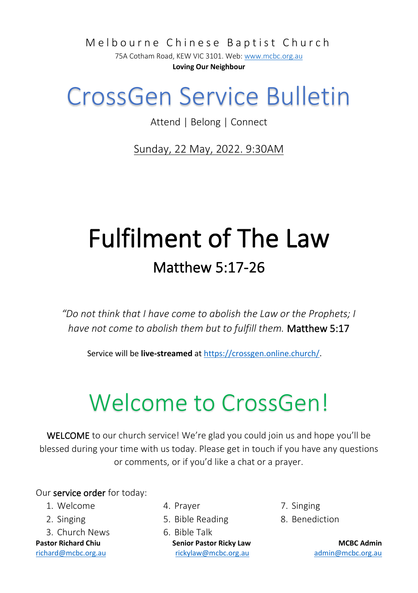Melbourne Chinese Baptist Church

75A Cotham Road, KEW VIC 3101. Web[: www.mcbc.org.au](http://www.mcbc.org.au/) **Loving Our Neighbour**

### CrossGen Service Bulletin

Attend | Belong | Connect

Sunday, 22 May, 2022. 9:30AM

## Fulfilment of The Law Matthew 5:17-26

*"Do not think that I have come to abolish the Law or the Prophets; I have not come to abolish them but to fulfill them.* Matthew 5:17

Service will be **live-streamed** a[t https://crossgen.online.church/.](https://crossgen.online.church/)

# Welcome to CrossGen!

WELCOME to our church service! We're glad you could join us and hope you'll be blessed during your time with us today. Please get in touch if you have any questions or comments, or if you'd like a chat or a prayer.

#### Our service order for today:

- 1. Welcome
- 2. Singing
- 3. Church News

- 4. Prayer
- 5. Bible Reading
- **Pastor Richard Chiu Senior Pastor Ricky Law MCBC Admin** [richard@mcbc.org.au](mailto:richard@mcbc.org.au) [rickylaw@mcbc.org.au](mailto:rickylaw@mcbc.org.au) [admin@mcbc.org.au](mailto:admin@mcbc.org.au) 6. Bible Talk
- 7. Singing
- 8. Benediction